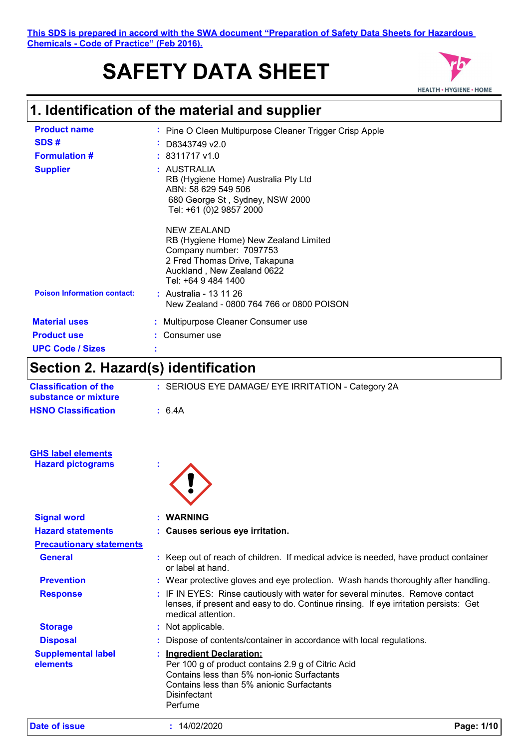# **SAFETY DATA SHEET**



### **1. Identification of the material and supplier**

| <b>Product name</b><br>SDS#<br><b>Formulation #</b><br><b>Supplier</b> | ٠ | : Pine O Cleen Multipurpose Cleaner Trigger Crisp Apple<br>D8343749 v2.0<br>$: 8311717 \text{ v}1.0$<br>: AUSTRALIA<br>RB (Hygiene Home) Australia Pty Ltd<br>ABN: 58 629 549 506<br>680 George St, Sydney, NSW 2000<br>Tel: +61 (0)2 9857 2000            |
|------------------------------------------------------------------------|---|------------------------------------------------------------------------------------------------------------------------------------------------------------------------------------------------------------------------------------------------------------|
| <b>Poison Information contact:</b>                                     |   | <b>NEW ZEALAND</b><br>RB (Hygiene Home) New Zealand Limited<br>Company number: 7097753<br>2 Fred Thomas Drive, Takapuna<br>Auckland, New Zealand 0622<br>Tel: +64 9 484 1400<br><b>:</b> Australia - 13 11 26<br>New Zealand - 0800 764 766 or 0800 POISON |
| <b>Material uses</b><br><b>Product use</b><br><b>UPC Code / Sizes</b>  | ٠ | Multipurpose Cleaner Consumer use<br>Consumer use                                                                                                                                                                                                          |
|                                                                        |   |                                                                                                                                                                                                                                                            |

# **Section 2. Hazard(s) identification**

| <b>Classification of the</b><br>substance or mixture | : SERIOUS EYE DAMAGE/ EYE IRRITATION - Category 2A                                                                                                                                                          |
|------------------------------------------------------|-------------------------------------------------------------------------------------------------------------------------------------------------------------------------------------------------------------|
| <b>HSNO Classification</b>                           | : 6.4A                                                                                                                                                                                                      |
|                                                      |                                                                                                                                                                                                             |
| <b>GHS label elements</b>                            |                                                                                                                                                                                                             |
| <b>Hazard pictograms</b>                             |                                                                                                                                                                                                             |
|                                                      |                                                                                                                                                                                                             |
| <b>Signal word</b>                                   | <b>WARNING</b>                                                                                                                                                                                              |
| <b>Hazard statements</b>                             | : Causes serious eye irritation.                                                                                                                                                                            |
| <b>Precautionary statements</b>                      |                                                                                                                                                                                                             |
| <b>General</b>                                       | : Keep out of reach of children. If medical advice is needed, have product container<br>or label at hand.                                                                                                   |
| <b>Prevention</b>                                    | : Wear protective gloves and eye protection. Wash hands thoroughly after handling.                                                                                                                          |
| <b>Response</b>                                      | IF IN EYES: Rinse cautiously with water for several minutes. Remove contact<br>lenses, if present and easy to do. Continue rinsing. If eye irritation persists: Get<br>medical attention.                   |
| <b>Storage</b>                                       | : Not applicable.                                                                                                                                                                                           |
| <b>Disposal</b>                                      | Dispose of contents/container in accordance with local regulations.                                                                                                                                         |
| <b>Supplemental label</b><br>elements                | <b>Ingredient Declaration:</b><br>Per 100 g of product contains 2.9 g of Citric Acid<br>Contains less than 5% non-ionic Surfactants<br>Contains less than 5% anionic Surfactants<br>Disinfectant<br>Perfume |
| <b>Date of issue</b>                                 | : 14/02/2020<br>Page: 1/10                                                                                                                                                                                  |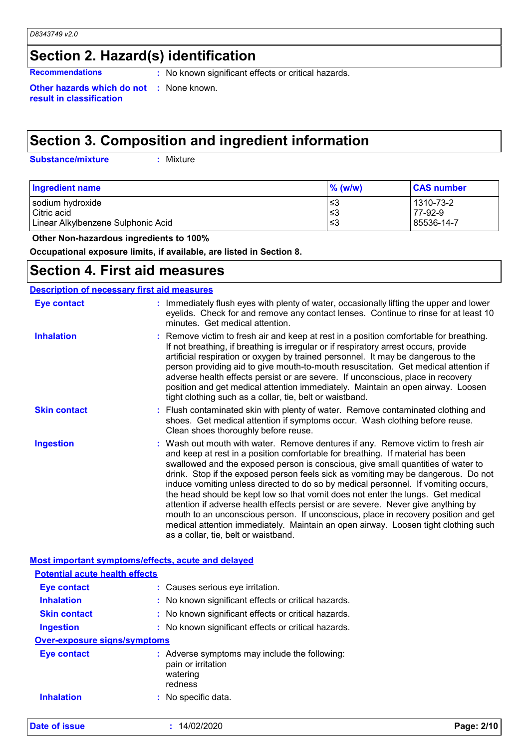# **Section 2. Hazard(s) identification**

**Recommendations :** No known significant effects or critical hazards.

**Other hazards which do not :** None known. **result in classification**

# **Section 3. Composition and ingredient information**

**Substance/mixture :**

: Mixture

| <b>Ingredient name</b>             | $\%$ (w/w) | <b>CAS number</b> |
|------------------------------------|------------|-------------------|
| sodium hydroxide                   | צ≥         | 1310-73-2         |
| Citric acid                        | צ≥         | 77-92-9           |
| Linear Alkylbenzene Sulphonic Acid | צ≥         | l 85536-14-7      |

 **Other Non-hazardous ingredients to 100%**

**Occupational exposure limits, if available, are listed in Section 8.**

### **Section 4. First aid measures**

### **Description of necessary first aid measures**

| Eye contact         | : Immediately flush eyes with plenty of water, occasionally lifting the upper and lower<br>eyelids. Check for and remove any contact lenses. Continue to rinse for at least 10<br>minutes. Get medical attention.                                                                                                                                                                                                                                                                                                                                                                                                                                                                                                                                                                                                            |
|---------------------|------------------------------------------------------------------------------------------------------------------------------------------------------------------------------------------------------------------------------------------------------------------------------------------------------------------------------------------------------------------------------------------------------------------------------------------------------------------------------------------------------------------------------------------------------------------------------------------------------------------------------------------------------------------------------------------------------------------------------------------------------------------------------------------------------------------------------|
| <b>Inhalation</b>   | : Remove victim to fresh air and keep at rest in a position comfortable for breathing.<br>If not breathing, if breathing is irregular or if respiratory arrest occurs, provide<br>artificial respiration or oxygen by trained personnel. It may be dangerous to the<br>person providing aid to give mouth-to-mouth resuscitation. Get medical attention if<br>adverse health effects persist or are severe. If unconscious, place in recovery<br>position and get medical attention immediately. Maintain an open airway. Loosen<br>tight clothing such as a collar, tie, belt or waistband.                                                                                                                                                                                                                                 |
| <b>Skin contact</b> | : Flush contaminated skin with plenty of water. Remove contaminated clothing and<br>shoes. Get medical attention if symptoms occur. Wash clothing before reuse.<br>Clean shoes thoroughly before reuse.                                                                                                                                                                                                                                                                                                                                                                                                                                                                                                                                                                                                                      |
| <b>Ingestion</b>    | : Wash out mouth with water. Remove dentures if any. Remove victim to fresh air<br>and keep at rest in a position comfortable for breathing. If material has been<br>swallowed and the exposed person is conscious, give small quantities of water to<br>drink. Stop if the exposed person feels sick as vomiting may be dangerous. Do not<br>induce vomiting unless directed to do so by medical personnel. If vomiting occurs,<br>the head should be kept low so that vomit does not enter the lungs. Get medical<br>attention if adverse health effects persist or are severe. Never give anything by<br>mouth to an unconscious person. If unconscious, place in recovery position and get<br>medical attention immediately. Maintain an open airway. Loosen tight clothing such<br>as a collar, tie, belt or waistband. |

|                                       | Most important symptoms/effects, acute and delayed                                       |            |
|---------------------------------------|------------------------------------------------------------------------------------------|------------|
| <b>Potential acute health effects</b> |                                                                                          |            |
| <b>Eye contact</b>                    | : Causes serious eye irritation.                                                         |            |
| <b>Inhalation</b>                     | : No known significant effects or critical hazards.                                      |            |
| <b>Skin contact</b>                   | : No known significant effects or critical hazards.                                      |            |
| Ingestion                             | : No known significant effects or critical hazards.                                      |            |
| <b>Over-exposure signs/symptoms</b>   |                                                                                          |            |
| <b>Eye contact</b>                    | Adverse symptoms may include the following:<br>pain or irritation<br>watering<br>redness |            |
| <b>Inhalation</b>                     | : No specific data.                                                                      |            |
| Date of issue                         | : 14/02/2020                                                                             | Page: 2/10 |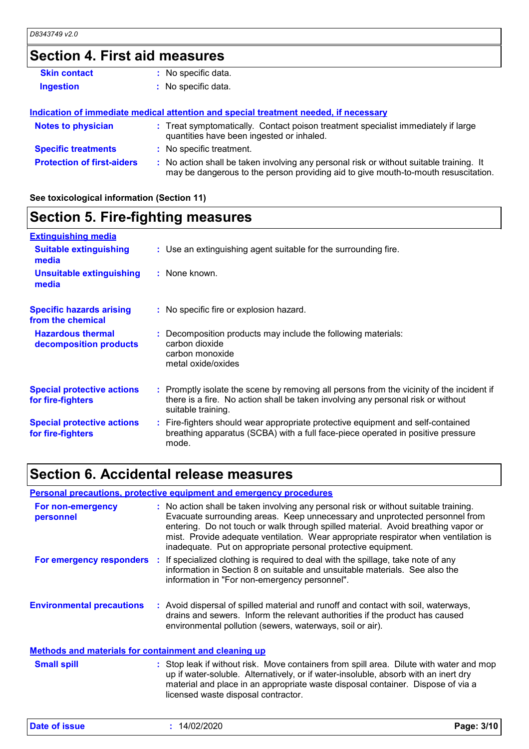# **Section 4. First aid measures**

| <b>Skin contact</b>               | : No specific data.                                                                                                                                                           |
|-----------------------------------|-------------------------------------------------------------------------------------------------------------------------------------------------------------------------------|
| <b>Ingestion</b>                  | : No specific data.                                                                                                                                                           |
|                                   |                                                                                                                                                                               |
|                                   | Indication of immediate medical attention and special treatment needed, if necessary                                                                                          |
| <b>Notes to physician</b>         | : Treat symptomatically. Contact poison treatment specialist immediately if large<br>quantities have been ingested or inhaled.                                                |
| <b>Specific treatments</b>        | : No specific treatment.                                                                                                                                                      |
| <b>Protection of first-aiders</b> | : No action shall be taken involving any personal risk or without suitable training. It<br>may be dangerous to the person providing aid to give mouth-to-mouth resuscitation. |

#### **See toxicological information (Section 11)**

### **Section 5. Fire-fighting measures**

| <b>Extinguishing media</b>                             |                                                                                                                                                                                                     |
|--------------------------------------------------------|-----------------------------------------------------------------------------------------------------------------------------------------------------------------------------------------------------|
| <b>Suitable extinguishing</b><br>media                 | : Use an extinguishing agent suitable for the surrounding fire.                                                                                                                                     |
| <b>Unsuitable extinguishing</b><br>media               | : None known.                                                                                                                                                                                       |
| <b>Specific hazards arising</b><br>from the chemical   | : No specific fire or explosion hazard.                                                                                                                                                             |
| <b>Hazardous thermal</b><br>decomposition products     | : Decomposition products may include the following materials:<br>carbon dioxide<br>carbon monoxide<br>metal oxide/oxides                                                                            |
| <b>Special protective actions</b><br>for fire-fighters | : Promptly isolate the scene by removing all persons from the vicinity of the incident if<br>there is a fire. No action shall be taken involving any personal risk or without<br>suitable training. |
| <b>Special protective actions</b><br>for fire-fighters | : Fire-fighters should wear appropriate protective equipment and self-contained<br>breathing apparatus (SCBA) with a full face-piece operated in positive pressure<br>mode.                         |

### **Section 6. Accidental release measures**

### **Personal precautions, protective equipment and emergency procedures**

| For non-emergency<br>personnel                        |  | : No action shall be taken involving any personal risk or without suitable training.<br>Evacuate surrounding areas. Keep unnecessary and unprotected personnel from<br>entering. Do not touch or walk through spilled material. Avoid breathing vapor or<br>mist. Provide adequate ventilation. Wear appropriate respirator when ventilation is<br>inadequate. Put on appropriate personal protective equipment. |
|-------------------------------------------------------|--|------------------------------------------------------------------------------------------------------------------------------------------------------------------------------------------------------------------------------------------------------------------------------------------------------------------------------------------------------------------------------------------------------------------|
| For emergency responders                              |  | : If specialized clothing is required to deal with the spillage, take note of any<br>information in Section 8 on suitable and unsuitable materials. See also the<br>information in "For non-emergency personnel".                                                                                                                                                                                                |
| <b>Environmental precautions</b>                      |  | : Avoid dispersal of spilled material and runoff and contact with soil, waterways,<br>drains and sewers. Inform the relevant authorities if the product has caused<br>environmental pollution (sewers, waterways, soil or air).                                                                                                                                                                                  |
| Methods and materials for containment and cleaning up |  |                                                                                                                                                                                                                                                                                                                                                                                                                  |

| <b>Small spill</b>                                                              | : Stop leak if without risk. Move containers from spill area. Dilute with water and mop |
|---------------------------------------------------------------------------------|-----------------------------------------------------------------------------------------|
|                                                                                 | up if water-soluble. Alternatively, or if water-insoluble, absorb with an inert dry     |
| material and place in an appropriate waste disposal container. Dispose of via a |                                                                                         |
|                                                                                 | licensed waste disposal contractor.                                                     |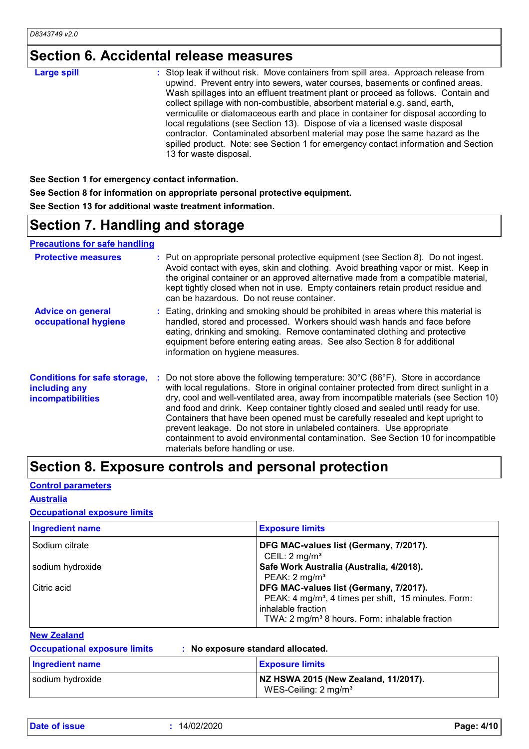# **Section 6. Accidental release measures**

**See Section 1 for emergency contact information. See Section 8 for information on appropriate personal protective equipment. See Section 13 for additional waste treatment information.**

### **Section 7. Handling and storage**

**Precautions for safe handling**

| <b>Protective measures</b>                                                       | : Put on appropriate personal protective equipment (see Section 8). Do not ingest.<br>Avoid contact with eyes, skin and clothing. Avoid breathing vapor or mist. Keep in<br>the original container or an approved alternative made from a compatible material,<br>kept tightly closed when not in use. Empty containers retain product residue and<br>can be hazardous. Do not reuse container.                                                                                                                                                                                                                                                                       |
|----------------------------------------------------------------------------------|-----------------------------------------------------------------------------------------------------------------------------------------------------------------------------------------------------------------------------------------------------------------------------------------------------------------------------------------------------------------------------------------------------------------------------------------------------------------------------------------------------------------------------------------------------------------------------------------------------------------------------------------------------------------------|
| <b>Advice on general</b><br>occupational hygiene                                 | : Eating, drinking and smoking should be prohibited in areas where this material is<br>handled, stored and processed. Workers should wash hands and face before<br>eating, drinking and smoking. Remove contaminated clothing and protective<br>equipment before entering eating areas. See also Section 8 for additional<br>information on hygiene measures.                                                                                                                                                                                                                                                                                                         |
| <b>Conditions for safe storage,</b><br>including any<br><b>incompatibilities</b> | : Do not store above the following temperature: $30^{\circ}$ C (86 $^{\circ}$ F). Store in accordance<br>with local regulations. Store in original container protected from direct sunlight in a<br>dry, cool and well-ventilated area, away from incompatible materials (see Section 10)<br>and food and drink. Keep container tightly closed and sealed until ready for use.<br>Containers that have been opened must be carefully resealed and kept upright to<br>prevent leakage. Do not store in unlabeled containers. Use appropriate<br>containment to avoid environmental contamination. See Section 10 for incompatible<br>materials before handling or use. |

### **Section 8. Exposure controls and personal protection**

#### **Control parameters**

**Australia**

### **Occupational exposure limits**

| <b>Ingredient name</b> | <b>Exposure limits</b>                                                                                                                                                                         |
|------------------------|------------------------------------------------------------------------------------------------------------------------------------------------------------------------------------------------|
| Sodium citrate         | DFG MAC-values list (Germany, 7/2017).<br>CEIL: $2 \text{ mg/m}^3$                                                                                                                             |
| sodium hydroxide       | Safe Work Australia (Australia, 4/2018).<br>PEAK: $2 \text{ mg/m}^3$                                                                                                                           |
| Citric acid            | DFG MAC-values list (Germany, 7/2017).<br>PEAK: 4 mg/m <sup>3</sup> , 4 times per shift, 15 minutes. Form:<br>inhalable fraction<br>TWA: 2 mg/m <sup>3</sup> 8 hours. Form: inhalable fraction |

#### **New Zealand**

**Occupational exposure limits : No exposure standard allocated.**

| Ingredient name  | <b>Exposure limits</b>                                                  |
|------------------|-------------------------------------------------------------------------|
| sodium hydroxide | NZ HSWA 2015 (New Zealand, 11/2017).<br>WES-Ceiling: $2 \text{ mg/m}^3$ |

**Date of issue :** 14/02/2020 **Page: 4/10**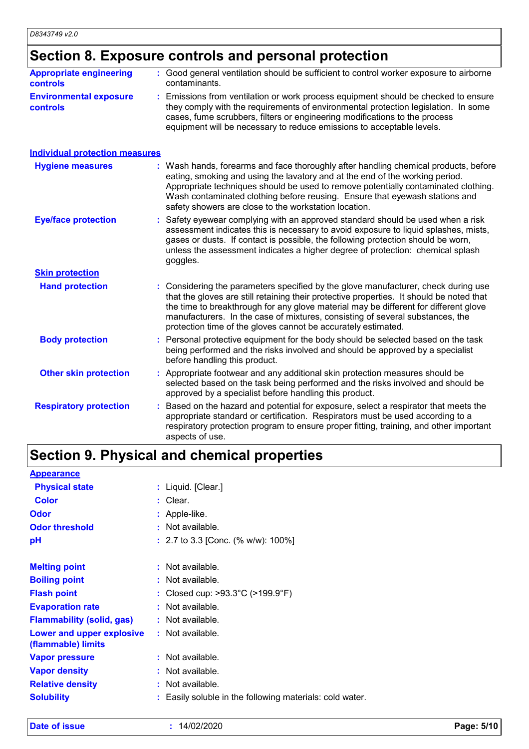# **Section 8. Exposure controls and personal protection**

| <b>Appropriate engineering</b>                   | : Good general ventilation should be sufficient to control worker exposure to airborne                                                                                                                                                                                                                                          |
|--------------------------------------------------|---------------------------------------------------------------------------------------------------------------------------------------------------------------------------------------------------------------------------------------------------------------------------------------------------------------------------------|
| <b>controls</b>                                  | contaminants.                                                                                                                                                                                                                                                                                                                   |
| <b>Environmental exposure</b><br><b>controls</b> | : Emissions from ventilation or work process equipment should be checked to ensure<br>they comply with the requirements of environmental protection legislation. In some<br>cases, fume scrubbers, filters or engineering modifications to the process<br>equipment will be necessary to reduce emissions to acceptable levels. |

| <b>Individual protection measures</b> |                                                                                                                                                                                                                                                                                                                                                                                                                          |
|---------------------------------------|--------------------------------------------------------------------------------------------------------------------------------------------------------------------------------------------------------------------------------------------------------------------------------------------------------------------------------------------------------------------------------------------------------------------------|
| <b>Hygiene measures</b>               | : Wash hands, forearms and face thoroughly after handling chemical products, before<br>eating, smoking and using the lavatory and at the end of the working period.<br>Appropriate techniques should be used to remove potentially contaminated clothing.<br>Wash contaminated clothing before reusing. Ensure that eyewash stations and<br>safety showers are close to the workstation location.                        |
| <b>Eye/face protection</b>            | Safety eyewear complying with an approved standard should be used when a risk<br>assessment indicates this is necessary to avoid exposure to liquid splashes, mists,<br>gases or dusts. If contact is possible, the following protection should be worn,<br>unless the assessment indicates a higher degree of protection: chemical splash<br>goggles.                                                                   |
| <b>Skin protection</b>                |                                                                                                                                                                                                                                                                                                                                                                                                                          |
| <b>Hand protection</b>                | : Considering the parameters specified by the glove manufacturer, check during use<br>that the gloves are still retaining their protective properties. It should be noted that<br>the time to breakthrough for any glove material may be different for different glove<br>manufacturers. In the case of mixtures, consisting of several substances, the<br>protection time of the gloves cannot be accurately estimated. |
| <b>Body protection</b>                | Personal protective equipment for the body should be selected based on the task<br>being performed and the risks involved and should be approved by a specialist<br>before handling this product.                                                                                                                                                                                                                        |
| <b>Other skin protection</b>          | : Appropriate footwear and any additional skin protection measures should be<br>selected based on the task being performed and the risks involved and should be<br>approved by a specialist before handling this product.                                                                                                                                                                                                |
| <b>Respiratory protection</b>         | Based on the hazard and potential for exposure, select a respirator that meets the<br>appropriate standard or certification. Respirators must be used according to a<br>respiratory protection program to ensure proper fitting, training, and other important<br>aspects of use.                                                                                                                                        |

# **Section 9. Physical and chemical properties**

| <b>Appearance</b>                               |                                                          |
|-------------------------------------------------|----------------------------------------------------------|
| <b>Physical state</b>                           | : Liquid. [Clear.]                                       |
| <b>Color</b>                                    | $:$ Clear.                                               |
| <b>Odor</b>                                     | : Apple-like.                                            |
| <b>Odor threshold</b>                           | : Not available.                                         |
| рH                                              | : 2.7 to 3.3 [Conc. $%$ w/w): 100%]                      |
| <b>Melting point</b>                            | $:$ Not available.                                       |
|                                                 |                                                          |
| <b>Boiling point</b>                            | : Not available.                                         |
| <b>Flash point</b>                              | : Closed cup: $>93.3^{\circ}$ C ( $>199.9^{\circ}$ F)    |
| <b>Evaporation rate</b>                         | : Not available.                                         |
| <b>Flammability (solid, gas)</b>                | $:$ Not available.                                       |
| Lower and upper explosive<br>(flammable) limits | $:$ Not available.                                       |
| <b>Vapor pressure</b>                           | $:$ Not available.                                       |
| <b>Vapor density</b>                            | $:$ Not available.                                       |
| <b>Relative density</b>                         | Not available.                                           |
| <b>Solubility</b>                               | : Easily soluble in the following materials: cold water. |

**Date of issue :** 14/02/2020 **Page: 5/10**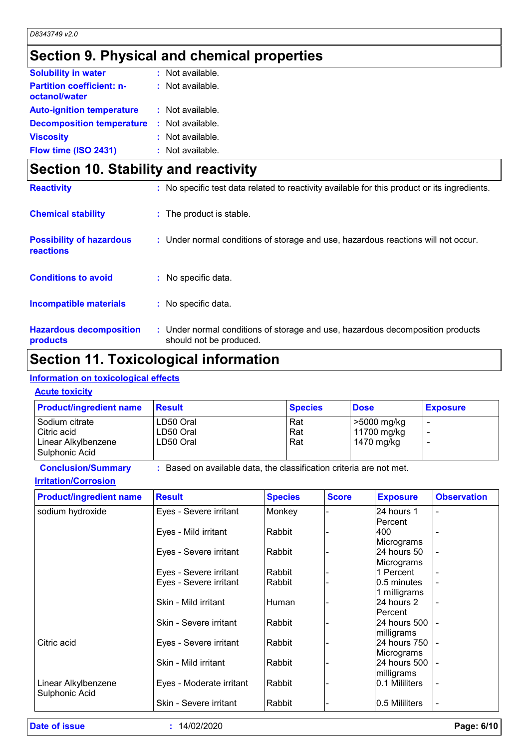# **Section 9. Physical and chemical properties**

| <b>Solubility in water</b>                        | : Not available. |  |
|---------------------------------------------------|------------------|--|
| <b>Partition coefficient: n-</b><br>octanol/water | : Not available. |  |
| <b>Auto-ignition temperature</b>                  | : Not available. |  |
| <b>Decomposition temperature</b>                  | : Not available. |  |
| <b>Viscosity</b>                                  | : Not available. |  |
| Flow time (ISO 2431)                              | : Not available. |  |

# **Section 10. Stability and reactivity**

| <b>Reactivity</b>                                   | : No specific test data related to reactivity available for this product or its ingredients.              |
|-----------------------------------------------------|-----------------------------------------------------------------------------------------------------------|
| <b>Chemical stability</b>                           | : The product is stable.                                                                                  |
| <b>Possibility of hazardous</b><br><b>reactions</b> | : Under normal conditions of storage and use, hazardous reactions will not occur.                         |
| <b>Conditions to avoid</b>                          | : No specific data.                                                                                       |
| <b>Incompatible materials</b>                       | : No specific data.                                                                                       |
| <b>Hazardous decomposition</b><br>products          | : Under normal conditions of storage and use, hazardous decomposition products<br>should not be produced. |

## **Section 11. Toxicological information**

### **Information on toxicological effects**

#### **Acute toxicity**

| <b>Product/ingredient name</b>                                           | Result                              | <b>Species</b>      | <b>Dose</b>                              | <b>Exposure</b> |
|--------------------------------------------------------------------------|-------------------------------------|---------------------|------------------------------------------|-----------------|
| I Sodium citrate<br>Citric acid<br>Linear Alkylbenzene<br>Sulphonic Acid | LD50 Oral<br>LD50 Oral<br>LD50 Oral | Rat<br>Rat<br>l Rat | >5000 mg/kg<br>11700 mg/kg<br>1470 mg/kg |                 |

### **Conclusion/Summary :** Based on available data, the classification criteria are not met.

#### **Irritation/Corrosion**

| <b>Product/ingredient name</b>        | <b>Result</b>            | <b>Species</b> | <b>Score</b> | <b>Exposure</b> | <b>Observation</b> |
|---------------------------------------|--------------------------|----------------|--------------|-----------------|--------------------|
| sodium hydroxide                      | Eyes - Severe irritant   | Monkey         |              | 24 hours 1      |                    |
|                                       |                          |                |              | <b>Percent</b>  |                    |
|                                       | Eyes - Mild irritant     | Rabbit         |              | 400             |                    |
|                                       |                          |                |              | Micrograms      |                    |
|                                       | Eyes - Severe irritant   | Rabbit         |              | 24 hours 50     |                    |
|                                       |                          |                |              | Micrograms      |                    |
|                                       | Eyes - Severe irritant   | Rabbit         |              | 1 Percent       |                    |
|                                       | Eyes - Severe irritant   | Rabbit         |              | I0.5 minutes    |                    |
|                                       |                          |                |              | 1 milligrams    |                    |
|                                       | Skin - Mild irritant     | <b>Human</b>   |              | 24 hours 2      |                    |
|                                       |                          |                |              | <b>Percent</b>  |                    |
|                                       | Skin - Severe irritant   | Rabbit         |              | 24 hours 500    |                    |
|                                       |                          |                |              | milligrams      |                    |
| Citric acid                           | Eyes - Severe irritant   | Rabbit         |              | 24 hours 750    |                    |
|                                       |                          |                |              | Micrograms      |                    |
|                                       | Skin - Mild irritant     | Rabbit         |              | 24 hours 500    |                    |
|                                       |                          |                |              | milligrams      |                    |
| Linear Alkylbenzene<br>Sulphonic Acid | Eyes - Moderate irritant | Rabbit         |              | I0.1 Mililiters |                    |
|                                       | Skin - Severe irritant   | Rabbit         |              | 0.5 Mililiters  |                    |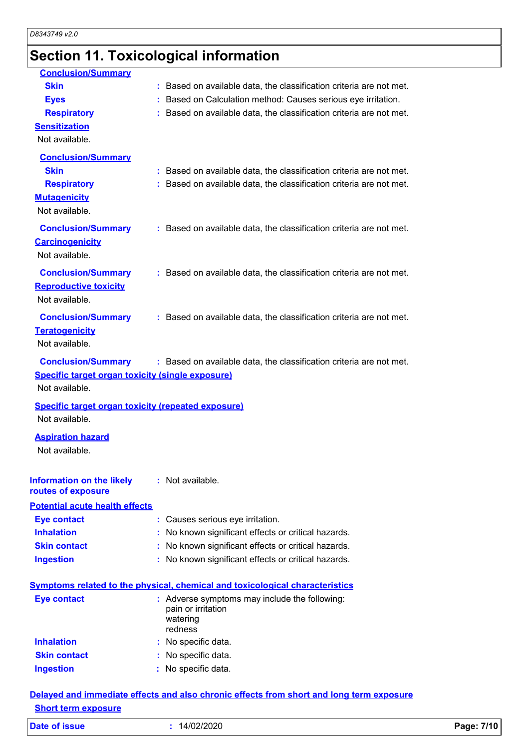# **Section 11. Toxicological information**

| <b>Conclusion/Summary</b>                                                            |                                                                                          |
|--------------------------------------------------------------------------------------|------------------------------------------------------------------------------------------|
| <b>Skin</b>                                                                          | : Based on available data, the classification criteria are not met.                      |
| <b>Eyes</b>                                                                          | Based on Calculation method: Causes serious eye irritation.                              |
| <b>Respiratory</b>                                                                   | : Based on available data, the classification criteria are not met.                      |
| <b>Sensitization</b>                                                                 |                                                                                          |
| Not available.                                                                       |                                                                                          |
| <b>Conclusion/Summary</b>                                                            |                                                                                          |
| <b>Skin</b>                                                                          | : Based on available data, the classification criteria are not met.                      |
| <b>Respiratory</b>                                                                   | : Based on available data, the classification criteria are not met.                      |
| <b>Mutagenicity</b>                                                                  |                                                                                          |
| Not available.                                                                       |                                                                                          |
| <b>Conclusion/Summary</b>                                                            | : Based on available data, the classification criteria are not met.                      |
| <b>Carcinogenicity</b>                                                               |                                                                                          |
| Not available.                                                                       |                                                                                          |
| <b>Conclusion/Summary</b>                                                            | : Based on available data, the classification criteria are not met.                      |
| <b>Reproductive toxicity</b>                                                         |                                                                                          |
| Not available.                                                                       |                                                                                          |
| <b>Conclusion/Summary</b>                                                            | : Based on available data, the classification criteria are not met.                      |
| <b>Teratogenicity</b>                                                                |                                                                                          |
| Not available.                                                                       |                                                                                          |
|                                                                                      |                                                                                          |
| <b>Conclusion/Summary</b><br><b>Specific target organ toxicity (single exposure)</b> | : Based on available data, the classification criteria are not met.                      |
| Not available.                                                                       |                                                                                          |
|                                                                                      |                                                                                          |
| Specific target organ toxicity (repeated exposure)<br>Not available.                 |                                                                                          |
|                                                                                      |                                                                                          |
| <b>Aspiration hazard</b>                                                             |                                                                                          |
| Not available.                                                                       |                                                                                          |
|                                                                                      |                                                                                          |
| <b>Information on the likely</b><br>routes of exposure                               | : Not available.                                                                         |
| <b>Potential acute health effects</b>                                                |                                                                                          |
| <b>Eye contact</b>                                                                   | : Causes serious eye irritation.                                                         |
| <b>Inhalation</b>                                                                    | No known significant effects or critical hazards.                                        |
| <b>Skin contact</b>                                                                  | No known significant effects or critical hazards.                                        |
| <b>Ingestion</b>                                                                     | No known significant effects or critical hazards.                                        |
|                                                                                      |                                                                                          |
|                                                                                      | <b>Symptoms related to the physical, chemical and toxicological characteristics</b>      |
| <b>Eye contact</b>                                                                   | : Adverse symptoms may include the following:                                            |
|                                                                                      | pain or irritation<br>watering                                                           |
|                                                                                      | redness                                                                                  |
| <b>Inhalation</b>                                                                    | : No specific data.                                                                      |
| <b>Skin contact</b>                                                                  | : No specific data.                                                                      |
| <b>Ingestion</b>                                                                     | : No specific data.                                                                      |
|                                                                                      | Delayed and immediate effects and also chronic effects from short and long term exposure |

#### **Short term exposure**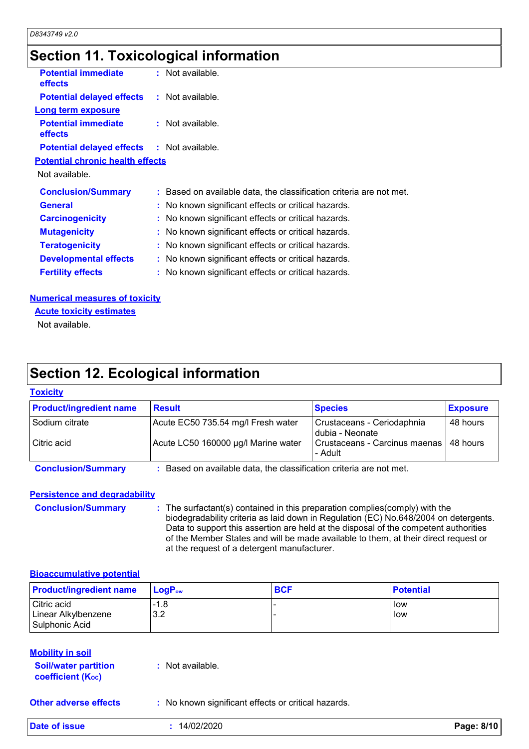### **Section 11. Toxicological information**

| <b>Potential immediate</b><br>effects             | $:$ Not available.                                                  |
|---------------------------------------------------|---------------------------------------------------------------------|
| <b>Potential delayed effects : Not available.</b> |                                                                     |
| Long term exposure                                |                                                                     |
| <b>Potential immediate</b><br><b>effects</b>      | $:$ Not available.                                                  |
| <b>Potential delayed effects : Not available.</b> |                                                                     |
| <b>Potential chronic health effects</b>           |                                                                     |
| Not available.                                    |                                                                     |
| <b>Conclusion/Summary</b>                         | : Based on available data, the classification criteria are not met. |
| <b>General</b>                                    | : No known significant effects or critical hazards.                 |
| <b>Carcinogenicity</b>                            | : No known significant effects or critical hazards.                 |
| <b>Mutagenicity</b>                               | : No known significant effects or critical hazards.                 |
| <b>Teratogenicity</b>                             | : No known significant effects or critical hazards.                 |
| <b>Developmental effects</b>                      | : No known significant effects or critical hazards.                 |
| <b>Fertility effects</b>                          | : No known significant effects or critical hazards.                 |
|                                                   |                                                                     |

#### **Numerical measures of toxicity**

**Acute toxicity estimates**

Not available.

## **Section 12. Ecological information**

#### **Toxicity**

| <b>Product/ingredient name</b> | <b>Result</b>                                                     | <b>Species</b>                                      | <b>Exposure</b> |  |
|--------------------------------|-------------------------------------------------------------------|-----------------------------------------------------|-----------------|--|
| Sodium citrate                 | Acute EC50 735.54 mg/l Fresh water                                | Crustaceans - Ceriodaphnia<br>dubia - Neonate       | 48 hours        |  |
| Citric acid                    | Acute LC50 160000 µg/l Marine water                               | Crustaceans - Carcinus maenas   48 hours<br>- Adult |                 |  |
| <b>Conclusion/Summary</b>      | Based on available data, the classification criteria are not met. |                                                     |                 |  |

#### **Persistence and degradability**

**Conclusion/Summary :** The surfactant(s) contained in this preparation complies(comply) with the biodegradability criteria as laid down in Regulation (EC) No.648/2004 on detergents. Data to support this assertion are held at the disposal of the competent authorities of the Member States and will be made available to them, at their direct request or at the request of a detergent manufacturer.

#### **Bioaccumulative potential**

| <b>Product/ingredient name</b>                       | <u>l LoqP<sub>ow</sub></u> | <b>BCF</b> | <b>Potential</b> |
|------------------------------------------------------|----------------------------|------------|------------------|
| Citric acid<br>Linear Alkylbenzene<br>Sulphonic Acid | $-1.8$<br>3.2              |            | low<br>low       |

| <b>Mobility in soil</b>                                              |                  |
|----------------------------------------------------------------------|------------------|
| <b>Soil/water partition</b><br><b>coefficient</b> (K <sub>oc</sub> ) | : Not available. |

**Other adverse effects** : No known significant effects or critical hazards.

**Date of issue :** 14/02/2020 **Page: 8/10**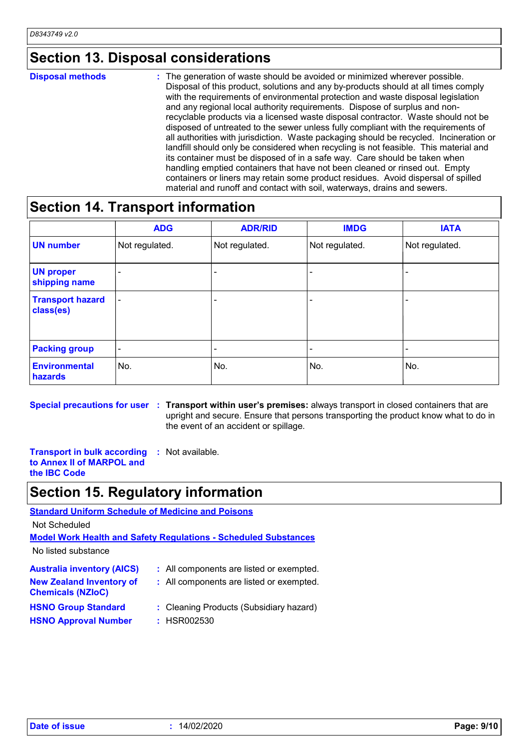### **Section 13. Disposal considerations**

The generation of waste should be avoided or minimized wherever possible. Disposal of this product, solutions and any by-products should at all times comply with the requirements of environmental protection and waste disposal legislation and any regional local authority requirements. Dispose of surplus and nonrecyclable products via a licensed waste disposal contractor. Waste should not be disposed of untreated to the sewer unless fully compliant with the requirements of all authorities with jurisdiction. Waste packaging should be recycled. Incineration or landfill should only be considered when recycling is not feasible. This material and its container must be disposed of in a safe way. Care should be taken when handling emptied containers that have not been cleaned or rinsed out. Empty containers or liners may retain some product residues. Avoid dispersal of spilled material and runoff and contact with soil, waterways, drains and sewers. **Disposal methods :**

### **Section 14. Transport information**

|                                      | <b>ADG</b>               | <b>ADR/RID</b> | <b>IMDG</b>    | <b>IATA</b>    |
|--------------------------------------|--------------------------|----------------|----------------|----------------|
| <b>UN number</b>                     | Not regulated.           | Not regulated. | Not regulated. | Not regulated. |
| <b>UN proper</b><br>shipping name    |                          |                |                |                |
| <b>Transport hazard</b><br>class(es) | $\overline{\phantom{a}}$ |                | -              |                |
| <b>Packing group</b>                 | $\overline{\phantom{a}}$ |                | -              |                |
| <b>Environmental</b><br>hazards      | No.                      | No.            | No.            | No.            |

**Special precautions for user Transport within user's premises:** always transport in closed containers that are **:** upright and secure. Ensure that persons transporting the product know what to do in the event of an accident or spillage.

**Transport in bulk according to Annex II of MARPOL and the IBC Code :** Not available.

### **Section 15. Regulatory information**

**Standard Uniform Schedule of Medicine and Poisons**

Not Scheduled

**Model Work Health and Safety Regulations - Scheduled Substances**

No listed substance

| <b>Australia inventory (AICS)</b>                           | : All components are listed or exempted.               |
|-------------------------------------------------------------|--------------------------------------------------------|
| <b>New Zealand Inventory of</b><br><b>Chemicals (NZIoC)</b> | : All components are listed or exempted.               |
| <b>HSNO Group Standard</b><br><b>HSNO Approval Number</b>   | : Cleaning Products (Subsidiary hazard)<br>: HSR002530 |